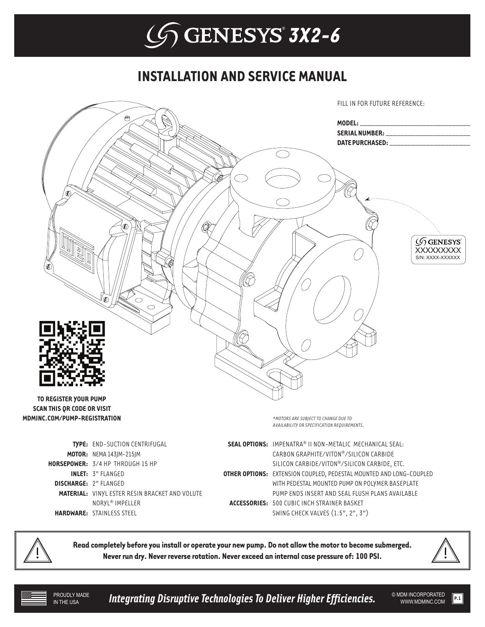# **INSTALLATION AND SERVICE MANUAL**



**Read completely before you install or operate your new pump. Do not allow the motor to become submerged. Never run dry. Never reverse rotation. Never exceed an internal case pressure of: 100 PSI.**



**Integrating Disruptive Technologies To Deliver Higher Efficiencies.** WE MOM INCORPORATED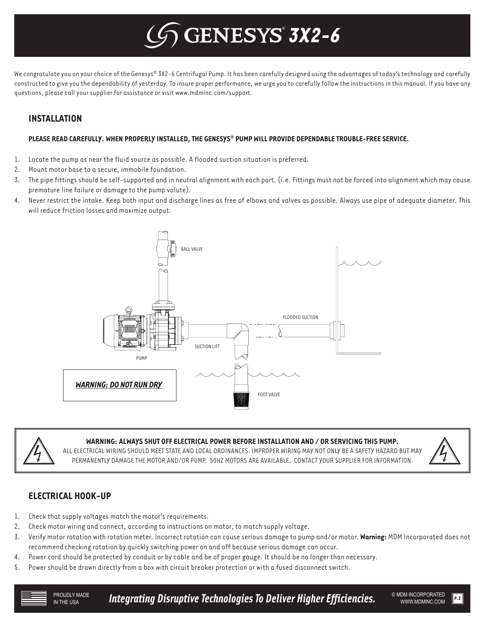

We congratulate you on your choice of the Genesys® 3X2-6 Centrifugal Pump. It has been carefully designed using the advantages of today's technology and carefully constructed to give you the dependability of yesterday. To insure proper performance, we urge you to carefully follow the instructions in this manual. If you have any questions, please call your supplier for assistance or visit www.mdminc.com/support.

### **INSTALLATION**

### **PLEASE READ CAREFULLY. WHEN PROPERLY INSTALLED, THE GENESYS® PUMP WILL PROVIDE DEPENDABLE TROUBLE-FREE SERVICE.**

- 1. Locate the pump as near the fluid source as possible. A flooded suction situation is preferred.
- 2. Mount motor base to a secure, immobile foundation.
- 3. The pipe fittings should be self-supported and in neutral alignment with each port. (i.e. Fittings must not be forced into alignment which may cause premature line failure or damage to the pump volute).
- 4. Never restrict the intake. Keep both input and discharge lines as free of elbows and valves as possible. Always use pipe of adequate diameter. This will reduce friction losses and maximize output.





### **WARNING: ALWAYS SHUT OFF ELECTRICAL POWER BEFORE INSTALLATION AND / OR SERVICING THIS PUMP.**

ALL ELECTRICAL WIRING SHOULD MEET STATE AND LOCAL ORDINANCES. IMPROPER WIRING MAY NOT ONLY BE A SAFETY HAZARD BUT MAY PERMANENTLY DAMAGE THE MOTOR AND/OR PUMP. 50HZ MOTORS ARE AVAILABLE. CONTACT YOUR SUPPLIER FOR INFORMATION.



# **ELECTRICAL HOOK-UP**

- 1. Check that supply voltages match the motor's requirements.
- 2. Check motor wiring and connect, according to instructions on motor, to match supply voltage.
- 3. Verify motor rotation with rotation meter. Incorrect rotation can cause serious damage to pump and/or motor. **Warning:** MDM Incorporated does not recommend checking rotation by quickly switching power on and off because serious damage can occur.
- 4. Power cord should be protected by conduit or by cable and be of proper gauge. It should be no longer than necessary.
- 5. Power should be drawn directly from a box with circuit breaker protection or with a fused disconnect switch.

**Integrating Disruptive Technologies To Deliver Higher Efficiencies.** WE WANDININC.COM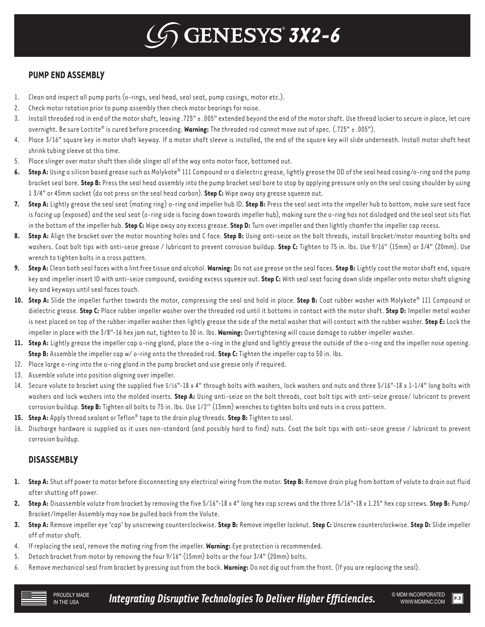# ® *3X2-6*

# **PUMP END ASSEMBLY**

- 1. Clean and inspect all pump parts (o-rings, seal head, seal seat, pump casings, motor etc.).
- 2. Check motor rotation prior to pump assembly then check motor bearings for noise.
- 3. Install threaded rod in end of the motor shaft, leaving .725" ± .005" extended beyond the end of the motor shaft. Use thread locker to secure in place, let cure overnight. Be sure Loctite® is cured before proceeding. **Warning:** The threaded rod cannot move out of spec. (.725" ± .005").
- 4. Place 3/16" square key in motor shaft keyway. If a motor shaft sleeve is installed, the end of the square key will slide underneath. Install motor shaft heat shrink tubing sleeve at this time.
- 5. Place slinger over motor shaft then slide slinger all of the way onto motor face, bottomed out.
- **6. Step A:** Using a silicon based grease such as Molykote® 111 Compound or a dielectric grease, lightly grease the OD of the seal head casing/o-ring and the pump bracket seal bore. **Step B:** Press the seal head assembly into the pump bracket seal bore to stop by applying pressure only on the seal casing shoulder by using 1 3/4" or 45mm socket (do not press on the seal head carbon). **Step C:** Wipe away any grease squeeze out.
- **7. Step A:** Lightly grease the seal seat (mating ring) o-ring and impeller hub ID. **Step B:** Press the seal seat into the impeller hub to bottom, make sure seat face is facing up (exposed) and the seal seat (o-ring side is facing down towards impeller hub), making sure the o-ring has not dislodged and the seal seat sits flat in the bottom of the impeller hub. **Step C:** Wipe away any excess grease. **Step D:** Turn over impeller and then lightly chamfer the impeller cap recess.
- **8. Step A:** Align the bracket over the motor mounting holes and C face. **Step B:** Using anti-seize on the bolt threads, install bracket/motor mounting bolts and washers. Coat bolt tips with anti-seize grease / lubricant to prevent corrosion buildup. **Step C:** Tighten to 75 in. lbs. Use 9/16" (15mm) or 3/4" (20mm). Use wrench to tighten bolts in a cross pattern.
- **9. Step A:** Clean both seal faces with a lint free tissue and alcohol. **Warning:** Do not use grease on the seal faces. **Step B:** Lightly coat the motor shaft end, square key and impeller insert ID with anti-seize compound, avoiding excess squeeze out. **Step C:** With seal seat facing down slide impeller onto motor shaft aligning key and keyways until seal faces touch.
- **10. Step A:** Slide the impeller further towards the motor, compressing the seal and hold in place. **Step B:** Coat rubber washer with Molykote® 111 Compound or dielectric grease. **Step C:** Place rubber impeller washer over the threaded rod until it bottoms in contact with the motor shaft. **Step D:** Impeller metal washer is next placed on top of the rubber impeller washer then lightly grease the side of the metal washer that will contact with the rubber washer. **Step E:** Lock the impeller in place with the 3/8"-16 hex jam nut, tighten to 30 in. lbs. **Warning:** Overtightening will cause damage to rubber impeller washer.
- **11. Step A:** Lightly grease the impeller cap o-ring gland, place the o-ring in the gland and lightly grease the outside of the o-ring and the impeller nose opening. **Step B:** Assemble the impeller cap w/ o-ring onto the threaded rod. **Step C:** Tighten the impeller cap to 50 in. lbs.
- 12. Place large o-ring into the o-ring gland in the pump bracket and use grease only if required.
- 13. Assemble volute into position aligning over impeller.
- 14. Secure volute to bracket using the supplied five 5/16"-18 x 4" through bolts with washers, lock washers and nuts and three 5/16"-18 x 1-1/4" long bolts with washers and lock washers into the molded inserts. **Step A:** Using anti-seize on the bolt threads, coat bolt tips with anti-seize grease/ lubricant to prevent corrosion buildup. **Step B:** Tighten all bolts to 75 in. lbs. Use 1/2'' (13mm) wrenches to tighten bolts and nuts in a cross pattern.
- **15. Step A:** Apply thread sealant or Teflon® tape to the drain plug threads. **Step B:** Tighten to seal.
- 16. Discharge hardware is supplied as it uses non-standard (and possibly hard to find) nuts. Coat the bolt tips with anti-seize grease / lubricant to prevent corrosion buildup.

### **DISASSEMBLY**

IN THE USA

- **1. Step A:** Shut off power to motor before disconnecting any electrical wiring from the motor. **Step B:** Remove drain plug from bottom of volute to drain out fluid after shutting off power.
- **2. Step A:** Disassemble volute from bracket by removing the five 5/16"-18 x 4" long hex cap screws and the three 5/16"-18 x 1.25" hex cap screws. **Step B:** Pump/ Bracket/Impeller Assembly may now be pulled back from the Volute.
- **3. Step A:** Remove impeller eye 'cap' by unscrewing counterclockwise. **Step B:** Remove impeller locknut. **Step C:** Unscrew counterclockwise. **Step D:** Slide impeller off of motor shaft.
- 4. If replacing the seal, remove the mating ring from the impeller. **Warning:** Eye protection is recommended.
- 5. Detach bracket from motor by removing the four 9/16" (15mm) bolts or the four 3/4" (20mm) bolts.
- 6. Remove mechanical seal from bracket by pressing out from the back. **Warning:** Do not dig out from the front. (If you are replacing the seal).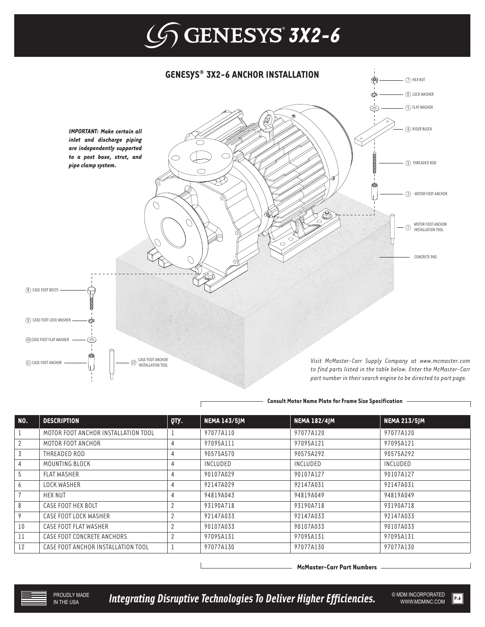

#### **Consult Motor Name Plate for Frame Size Specification**

| NO. | <b>DESCRIPTION</b>                  | QTY. | <b>NEMA 143/5JM</b> | <b>NEMA 182/4JM</b> | <b>NEMA 213/5JM</b> |
|-----|-------------------------------------|------|---------------------|---------------------|---------------------|
|     | MOTOR FOOT ANCHOR INSTALLATION TOOL |      | 97077A110           | 97077A120           | 97077A120           |
| 2   | MOTOR FOOT ANCHOR                   | 4    | 97095A111           | 97095A121           | 97095A121           |
| 3   | THREADED ROD                        |      | 90575A570           | 90575A292           | 90575A292           |
| 4   | MOUNTING BLOCK                      |      | INCLUDED            | INCLUDED            | <b>INCLUDED</b>     |
| 5   | <b>FLAT WASHER</b>                  |      | 90107A029           | 90107A127           | 90107A127           |
|     | LOCK WASHER                         | 4    | 92147A029           | 92147A031           | 92147A031           |
|     | <b>HEX NUT</b>                      |      | 94819A043           | 94819A049           | 94819A049           |
| 8   | CASE FOOT HEX BOLT                  |      | 93190A718           | 93190A718           | 93190A718           |
| 9   | CASE FOOT LOCK WASHER               |      | 92147A033           | 92147A033           | 92147A033           |
| 10  | CASE FOOT FLAT WASHER               |      | 90107A033           | 90107A033           | 90107A033           |
| 11  | CASE FOOT CONCRETE ANCHORS          |      | 97095A131           | 97095A131           | 97095A131           |
| 12  | CASE FOOT ANCHOR INSTALLATION TOOL  |      | 97077A130           | 97077A130           | 97077A130           |

**McMaster-Carr Part Numbers**

**Integrating Disruptive Technologies To Deliver Higher Efficiencies.** WE MOM INCORPORATED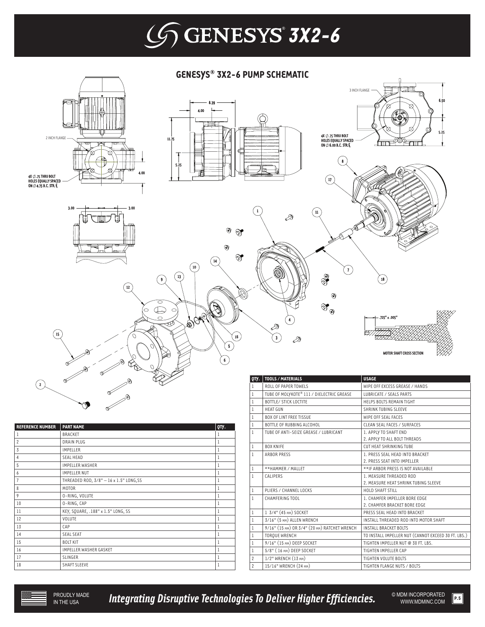

### **GENESYS® 3X2-6 PUMP SCHEMATIC**



3.00 <del>- - - - -</del> 3.00

**ALANA** 



 $\circledcirc$ 

 $\circledcirc$ 

 $\mathcal{D}$ 

 $\odot$  $\left( \begin{smallmatrix} 6 \end{smallmatrix} \right)$ 

 $\widetilde{(\cdot)}$ 

Þ

4

A



MOTOR SHAFT CROSS SECTION

| 2 <sup>1</sup>          | ◡<br>$\mathscr{D}^\circ$<br>'W⁄         |              |
|-------------------------|-----------------------------------------|--------------|
|                         | $\frac{1}{\sqrt{2}}$                    |              |
|                         |                                         |              |
|                         |                                         |              |
|                         |                                         |              |
| <b>REFERENCE NUMBER</b> | <b>PART NAME</b>                        | QTY.         |
| 1                       | <b>BRACKET</b>                          | 1            |
| $\overline{c}$          | DRAIN PLUG                              | 1            |
| $\overline{3}$          | <b>IMPELLER</b>                         | 1            |
| $\overline{4}$          | SEAL HEAD                               | 1            |
| $\sqrt{5}$              | IMPELLER WASHER                         | 1            |
| 6                       | <b>IMPELLER NUT</b>                     | 1            |
| $\overline{7}$          | THREADED ROD, 3/8" - 16 x 1.5" LONG, SS | 1            |
| 8                       | <b>MOTOR</b>                            | $\mathbf{1}$ |
| 9                       | 0-RING, VOLUTE                          | $\mathbf{1}$ |
| 10                      | 0-RING, CAP                             | 1            |
| 11                      | KEY, SQUARE, .188" x 1.5" LONG, SS      | 1            |
| 12                      | <b>VOLUTE</b>                           | 1            |
| 13                      | CAP                                     | 1            |
| 14                      | SEAL SEAT                               | 1            |
| 15                      | <b>BOLT KIT</b>                         | 1            |

 $\bigodot$ 

ਠ

 $(\circ \oplus \circ)$ 

R₹

<sup>15</sup> <sup>16</sup>

 $\binom{12}{ }$ 

 $\sim$ 

 $\circledR$ 

\$P

 $\begin{array}{c} \boxed{14} \end{array}$ 

**R** 

 $\binom{13}{ }$ 

15 BOLT KIT 16 IMPELLER WASHER GASKET 1<br>17 SLINGER 1 17 SLINGER 1 18 SHAFT SLEEVE 1

| QTY.           | <b>TOOLS / MATERIALS</b>                     | <b>USAGE</b>                                          |
|----------------|----------------------------------------------|-------------------------------------------------------|
| $\mathbf{1}$   | ROLL OF PAPER TOWELS                         | WIPE OFF EXCESS GREASE / HANDS                        |
| $\mathbf{1}$   | TUBE OF MOLYKOTE® 111 / DIELECTRIC GREASE    | LUBRICATE / SEALS PARTS                               |
| $\mathbf{1}$   | BOTTLE/ STICK LOCTITE                        | HELPS BOLTS REMAIN TIGHT                              |
| $\mathbf{1}$   | <b>HEAT GUN</b>                              | SHRINK TUBING SLEEVE                                  |
| $\mathbf{1}$   | BOX OF LINT FREE TISSUE                      | WIPE OFF SEAL FACES                                   |
| $\mathbf{1}$   | BOTTLE OF RUBBING ALCOHOL                    | CLEAN SEAL FACES / SURFACES                           |
| $\mathbf{1}$   | TUBE OF ANTI-SEIZE GREASE / LUBRICANT        | 1. APPLY TO SHAFT END<br>2. APPLY TO ALL BOLT THREADS |
|                |                                              |                                                       |
| 1              | <b>BOX KNIFE</b>                             | CUT HEAT SHRINKING TUBE                               |
| $\mathbf{1}$   | ARBOR PRESS                                  | 1. PRESS SEAL HEAD INTO BRACKET                       |
|                |                                              | 2. PRESS SEAT INTO IMPELLER                           |
| $\mathbf{1}$   | **HAMMER / MALLET                            | **IF ARBOR PRESS IS NOT AVAILABLE                     |
| $\mathbf{1}$   | CALIPERS                                     | 1. MEASURE THREADED ROD                               |
|                |                                              | 2. MEASURE HEAT SHRINK TUBING SLEEVE                  |
| $\mathbf{1}$   | PLIERS / CHANNEL LOCKS                       | HOLD SHAFT STILL                                      |
| $\mathbf{1}$   | CHAMFERING TOOL                              | 1. CHAMFER IMPELLER BORE EDGE                         |
|                |                                              | 2. CHAMFER BRACKET BORE EDGE                          |
| $\mathbf{1}$   | 1 3/4" (45 MM) SOCKET                        | PRESS SEAL HEAD INTO BRACKET                          |
| $\mathbf{1}$   | 3/16" (5 MM) ALLEN WRENCH                    | INSTALL THREADED ROD INTO MOTOR SHAFT                 |
| $\mathbf{1}$   | 9/16" (15 мм) OR 3/4" (20 мм) RATCHET WRENCH | <b>INSTALL BRACKET BOLTS</b>                          |
| $\mathbf{1}$   | TORQUE WRENCH                                | TO INSTALL IMPELLER NUT (CANNOT EXCEED 30 FT. LBS.)   |
| $\mathbf{1}$   | 9/16" (15 MM) DEEP SOCKET                    | TIGHTEN IMPELLER NUT @ 30 FT. LBS.                    |
| $\mathbf{1}$   | 5/8" (16 MM) DEEP SOCKET                     | TIGHTEN IMPELLER CAP                                  |
| $\overline{2}$ | 1/2" WRENCH (13 MM)                          | TIGHTEN VOLUTE BOLTS                                  |
| $\overline{2}$ | 15/16" WRENCH (24 MM)                        | TIGHTEN FLANGE NUTS / BOLTS                           |

苣

PROUDLY MADE IN THE USA

**Integrating Disruptive Technologies To Deliver Higher Efficiencies.** WE MOM INCORPORATED